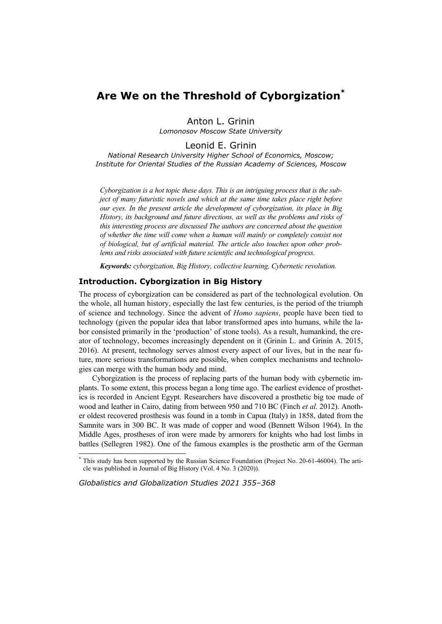# **Are We on the Threshold of Cyborgization\***

Anton L. Grinin *Lomonosov Moscow State University* 

Leonid E. Grinin

*National Research University Higher School of Economics, Moscow; Institute for Oriental Studies of the Russian Academy of Sciences, Moscow* 

*Cyborgization is a hot topic these days. This is an intriguing process that is the subject of many futuristic novels and which at the same time takes place right before our eyes. In the present article the development of cyborgization, its place in Big History, its background and future directions, as well as the problems and risks of this interesting process are discussed The authors are concerned about the question of whether the time will come when a human will mainly or completely consist not of biological, but of artificial material. The article also touches upon other problems and risks associated with future scientific and technological progress.* 

*Keywords: cyborgization, Big History, collective learning, Cybernetic revolution.* 

# **Introduction. Cyborgization in Big History**

The process of cyborgization can be considered as part of the technological evolution. On the whole, all human history, especially the last few centuries, is the period of the triumph of science and technology. Since the advent of *Homo sapiens*, people have been tied to technology (given the popular idea that labor transformed apes into humans, while the labor consisted primarily in the 'production' of stone tools). As a result, humankind, the creator of technology, becomes increasingly dependent on it (Grinin L. and Grinin A. 2015, 2016). At present, technology serves almost every aspect of our lives, but in the near future, more serious transformations are possible, when complex mechanisms and technologies can merge with the human body and mind.

Cyborgization is the process of replacing parts of the human body with cybernetic implants. To some extent, this process began a long time ago. The earliest evidence of prosthetics is recorded in Ancient Egypt. Researchers have discovered a prosthetic big toe made of wood and leather in Cairo, dating from between 950 and 710 BC (Finch *et al.* 2012). Another oldest recovered prosthesis was found in a tomb in Capua (Italy) in 1858, dated from the Samnite wars in 300 BC. It was made of copper and wood (Bennett Wilson 1964). In the Middle Ages, prostheses of iron were made by armorers for knights who had lost limbs in battles (Sellegren 1982). One of the famous examples is the prosthetic arm of the German

*Globalistics and Globalization Studies 2021 355–368*

 $\overline{\phantom{a}}$ 

<sup>\*</sup> This study has been supported by the Russian Science Foundation (Project No. 20-61-46004). The article was published in Journal of Big History (Vol. 4 No. 3 (2020)).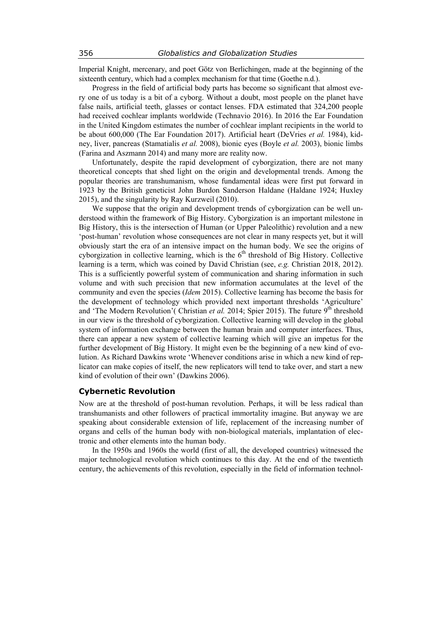Imperial Knight, mercenary, and poet Götz von Berlichingen, made at the beginning of the sixteenth century, which had a complex mechanism for that time (Goethe n.d.).

Progress in the field of artificial body parts has become so significant that almost every one of us today is a bit of a cyborg. Without a doubt, most people on the planet have false nails, artificial teeth, glasses or contact lenses. FDA estimated that 324,200 people had received cochlear implants worldwide (Technavio 2016). In 2016 the Ear Foundation in the United Kingdom estimates the number of cochlear implant recipients in the world to be about 600,000 (The Ear Foundation 2017). Artificial heart (DeVries *et al.* 1984), kidney, liver, pancreas (Stamatialis *et al.* 2008), bionic eyes (Boyle *et al.* 2003), bionic limbs (Farina and Aszmann 2014) and many more are reality now.

Unfortunately, despite the rapid development of cyborgization, there are not many theoretical concepts that shed light on the origin and developmental trends. Among the popular theories are transhumanism, whose fundamental ideas were first put forward in 1923 by the British geneticist John Burdon Sanderson Haldane (Haldane 1924; Huxley 2015), and the singularity by Ray Kurzweil (2010).

We suppose that the origin and development trends of cyborgization can be well understood within the framework of Big History. Cyborgization is an important milestone in Big History, this is the intersection of Human (or Upper Paleolithic) revolution and a new 'post-human' revolution whose consequences are not clear in many respects yet, but it will obviously start the era of an intensive impact on the human body. We see the origins of cyborgization in collective learning, which is the  $6<sup>th</sup>$  threshold of Big History. Collective learning is a term, which was coined by David Christian (see, *e.g.* Christian 2018, 2012). This is a sufficiently powerful system of communication and sharing information in such volume and with such precision that new information accumulates at the level of the community and even the species (*Idem* 2015). Collective learning has become the basis for the development of technology which provided next important thresholds 'Agriculture' and 'The Modern Revolution'( Christian *et al.* 2014; Spier 2015). The future  $9<sup>th</sup>$  threshold in our view is the threshold of cyborgization. Collective learning will develop in the global system of information exchange between the human brain and computer interfaces. Thus, there can appear a new system of collective learning which will give an impetus for the further development of Big History. It might even be the beginning of a new kind of evolution. As Richard Dawkins wrote 'Whenever conditions arise in which a new kind of replicator can make copies of itself, the new replicators will tend to take over, and start a new kind of evolution of their own' (Dawkins 2006).

## **Cybernetic Revolution**

Now are at the threshold of post-human revolution. Perhaps, it will be less radical than transhumanists and other followers of practical immortality imagine. But anyway we are speaking about considerable extension of life, replacement of the increasing number of organs and cells of the human body with non-biological materials, implantation of electronic and other elements into the human body.

In the 1950s and 1960s the world (first of all, the developed countries) witnessed the major technological revolution which continues to this day. At the end of the twentieth century, the achievements of this revolution, especially in the field of information technol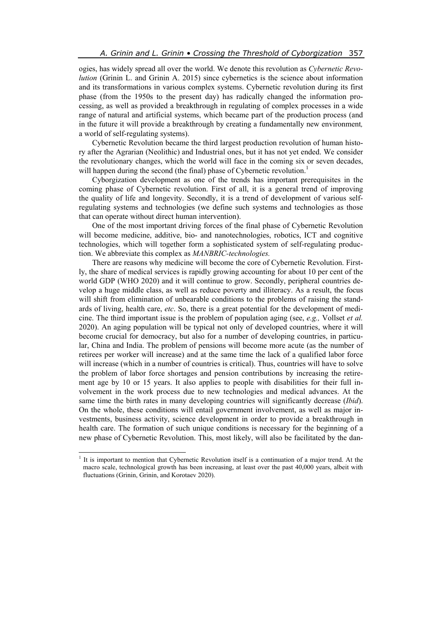ogies, has widely spread all over the world. We denote this revolution as *Cybernetic Revolution* (Grinin L. and Grinin A. 2015) since cybernetics is the science about information and its transformations in various complex systems. Cybernetic revolution during its first phase (from the 1950s to the present day) has radically changed the information processing, as well as provided a breakthrough in regulating of complex processes in a wide range of natural and artificial systems, which became part of the production process (and in the future it will provide a breakthrough by creating a fundamentally new environment*,* a world of self-regulating systems).

Cybernetic Revolution became the third largest production revolution of human history after the Agrarian (Neolithic) and Industrial ones, but it has not yet ended. We consider the revolutionary changes, which the world will face in the coming six or seven decades, will happen during the second (the final) phase of Cybernetic revolution.<sup>1</sup>

Cyborgization development as one of the trends has important prerequisites in the coming phase of Cybernetic revolution. First of all, it is a general trend of improving the quality of life and longevity. Secondly, it is a trend of development of various selfregulating systems and technologies (we define such systems and technologies as those that can operate without direct human intervention).

One of the most important driving forces of the final phase of Cybernetic Revolution will become medicine, additive, bio- and nanotechnologies, robotics, ICT and cognitive technologies, which will together form a sophisticated system of self-regulating production. We abbreviate this complex as *MANBRIC-technologies.* 

There are reasons why medicine will become the core of Cybernetic Revolution. Firstly, the share of medical services is rapidly growing accounting for about 10 per cent of the world GDP (WHO 2020) and it will continue to grow. Secondly, peripheral countries develop a huge middle class, as well as reduce poverty and illiteracy. As a result, the focus will shift from elimination of unbearable conditions to the problems of raising the standards of living, health care, *etc*. So, there is a great potential for the development of medicine. The third important issue is the problem of population aging (see, *e.g.,* Vollset *et al.* 2020). An aging population will be typical not only of developed countries, where it will become crucial for democracy, but also for a number of developing countries, in particular, China and India. The problem of pensions will become more acute (as the number of retirees per worker will increase) and at the same time the lack of a qualified labor force will increase (which in a number of countries is critical). Thus, countries will have to solve the problem of labor force shortages and pension contributions by increasing the retirement age by 10 or 15 years. It also applies to people with disabilities for their full involvement in the work process due to new technologies and medical advances. At the same time the birth rates in many developing countries will significantly decrease (*Ibid*). On the whole, these conditions will entail government involvement, as well as major investments, business activity, science development in order to provide a breakthrough in health care. The formation of such unique conditions is necessary for the beginning of a new phase of Cybernetic Revolution. This, most likely, will also be facilitated by the dan-

 $\overline{a}$ 

<sup>&</sup>lt;sup>1</sup> It is important to mention that Cybernetic Revolution itself is a continuation of a major trend. At the macro scale, technological growth has been increasing, at least over the past 40,000 years, albeit with fluctuations (Grinin, Grinin, and Korotaev 2020).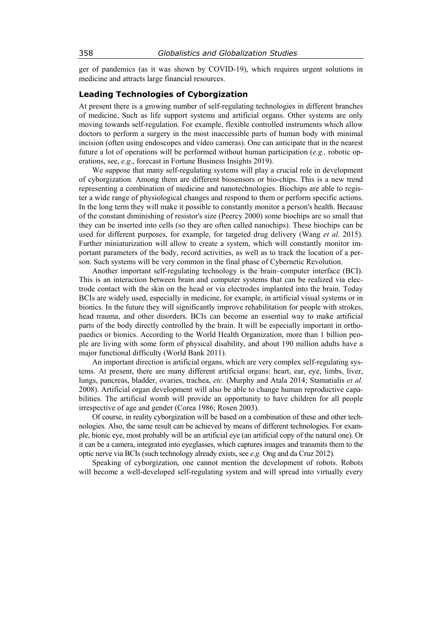ger of pandemics (as it was shown by COVID-19), which requires urgent solutions in medicine and attracts large financial resources.

# **Leading Technologies of Cyborgization**

At present there is a growing number of self-regulating technologies in different branches of medicine, Such as life support systems and artificial organs. Other systems are only moving towards self-regulation. For example, flexible controlled instruments which allow doctors to perform a surgery in the most inaccessible parts of human body with minimal incision (often using endoscopes and video cameras). One can anticipate that in the nearest future a lot of operations will be performed without human participation (*e.g.,* robotic operations, see, *e.g*., forecast in Fortune Business Insights 2019).

We suppose that many self-regulating systems will play a crucial role in development of cyborgization*.* Among them are different biosensors or bio-chips. This is a new trend representing a combination of medicine and nanotechnologies. Biochips are able to register a wide range of physiological changes and respond to them or perform specific actions. In the long term they will make it possible to constantly monitor a person's health. Because of the constant diminishing of resistor's size (Peercy 2000) some biochips are so small that they can be inserted into cells (so they are often called nanochips). These biochips can be used for different purposes, for example, for targeted drug delivery (Wang *et al.* 2015). Further miniaturization will allow to create a system, which will constantly monitor important parameters of the body, record activities, as well as to track the location of a person. Such systems will be very common in the final phase of Cybernetic Revolution.

Another important self-regulating technology is the brain–computer interface (BCI). This is an interaction between brain and computer systems that can be realized via electrode contact with the skin on the head or via electrodes implanted into the brain. Today BCIs are widely used, especially in medicine, for example, in artificial visual systems or in bionics. In the future they will significantly improve rehabilitation for people with strokes, head trauma, and other disorders. BCIs can become an essential way to make artificial parts of the body directly controlled by the brain. It will be especially important in orthopaedics or bionics. According to the World Health Organization, more than 1 billion people are living with some form of physical disability, and about 190 million adults have a major functional difficulty (World Bank 2011).

An important direction is artificial organs, which are very complex self-regulating systems. At present, there are many different artificial organs: heart, ear, eye, limbs, liver, lungs, pancreas, bladder, ovaries, trachea, *etc.* (Murphy and Atala 2014; Stamatialis *et al.* 2008). Artificial organ development will also be able to change human reproductive capabilities. The artificial womb will provide an opportunity to have children for all people irrespective of age and gender (Corea 1986; Rosen 2003).

Of course, in reality cyborgization will be based on a combination of these and other technologies. Also, the same result can be achieved by means of different technologies. For example, bionic eye, most probably will be an artificial eye (an artificial copy of the natural one). Or it can be a camera, integrated into eyeglasses, which captures images and transmits them to the optic nerve via BCIs (such technology already exists, see *e.g.* Ong and da Cruz 2012).

Speaking of cyborgization, one cannot mention the development of robots. Robots will become a well-developed self-regulating system and will spread into virtually every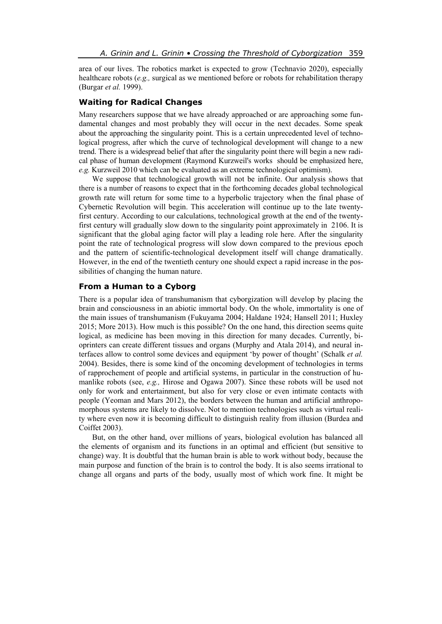area of our lives. The robotics market is expected to grow (Technavio 2020), especially healthcare robots (*e.g.,* surgical as we mentioned before or robots for rehabilitation therapy (Burgar *et al.* 1999).

# **Waiting for Radical Changes**

Many researchers suppose that we have already approached or are approaching some fundamental changes and most probably they will occur in the next decades. Some speak about the approaching the singularity point. This is a certain unprecedented level of technological progress, after which the curve of technological development will change to a new trend. There is a widespread belief that after the singularity point there will begin a new radical phase of human development (Raymond Kurzweil's works should be emphasized here, *e.g.* Kurzweil 2010 which can be evaluated as an extreme technological optimism).

We suppose that technological growth will not be infinite. Our analysis shows that there is a number of reasons to expect that in the forthcoming decades global technological growth rate will return for some time to a hyperbolic trajectory when the final phase of Cybernetic Revolution will begin. This acceleration will continue up to the late twentyfirst century. According to our calculations, technological growth at the end of the twentyfirst century will gradually slow down to the singularity point approximately in 2106. It is significant that the global aging factor will play a leading role here. After the singularity point the rate of technological progress will slow down compared to the previous epoch and the pattern of scientific-technological development itself will change dramatically. However, in the end of the twentieth century one should expect a rapid increase in the possibilities of changing the human nature.

# **From a Human to a Cyborg**

There is a popular idea of transhumanism that cyborgization will develop by placing the brain and consciousness in an abiotic immortal body. On the whole, immortality is one of the main issues of transhumanism (Fukuyama 2004; Haldane 1924; Hansell 2011; Huxley 2015; More 2013). How much is this possible? On the one hand, this direction seems quite logical, as medicine has been moving in this direction for many decades. Currently, bioprinters can create different tissues and organs (Murphy and Atala 2014), and neural interfaces allow to control some devices and equipment 'by power of thought' (Schalk *et al.* 2004). Besides, there is some kind of the oncoming development of technologies in terms of rapprochement of people and artificial systems, in particular in the construction of humanlike robots (see, *e.g.,* Hirose and Ogawa 2007). Since these robots will be used not only for work and entertainment, but also for very close or even intimate contacts with people (Yeoman and Mars 2012), the borders between the human and artificial anthropomorphous systems are likely to dissolve. Not to mention technologies such as virtual reality where even now it is becoming difficult to distinguish reality from illusion (Burdea and Coiffet 2003).

But, on the other hand, over millions of years, biological evolution has balanced all the elements of organism and its functions in an optimal and efficient (but sensitive to change) way. It is doubtful that the human brain is able to work without body, because the main purpose and function of the brain is to control the body. It is also seems irrational to change all organs and parts of the body, usually most of which work fine. It might be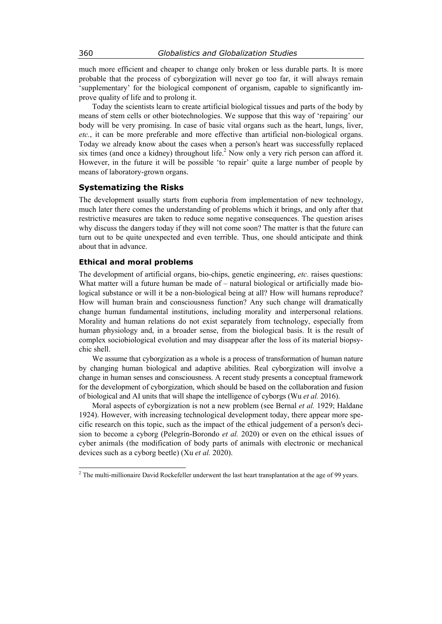much more efficient and cheaper to change only broken or less durable parts. It is more probable that the process of cyborgization will never go too far, it will always remain 'supplementary' for the biological component of organism, capable to significantly improve quality of life and to prolong it.

Today the scientists learn to create artificial biological tissues and parts of the body by means of stem cells or other biotechnologies. We suppose that this way of 'repairing' our body will be very promising. In case of basic vital organs such as the heart, lungs, liver, *etc.*, it can be more preferable and more effective than artificial non-biological organs. Today we already know about the cases when a person's heart was successfully replaced six times (and once a kidney) throughout life.<sup>2</sup> Now only a very rich person can afford it. However, in the future it will be possible 'to repair' quite a large number of people by means of laboratory-grown organs.

## **Systematizing the Risks**

The development usually starts from euphoria from implementation of new technology, much later there comes the understanding of problems which it brings, and only after that restrictive measures are taken to reduce some negative consequences. The question arises why discuss the dangers today if they will not come soon? The matter is that the future can turn out to be quite unexpected and even terrible. Thus, one should anticipate and think about that in advance.

#### **Ethical and moral problems**

The development of artificial organs, bio-chips, genetic engineering, *etc.* raises questions: What matter will a future human be made of – natural biological or artificially made biological substance or will it be a non-biological being at all? How will humans reproduce? How will human brain and consciousness function? Any such change will dramatically change human fundamental institutions, including morality and interpersonal relations. Morality and human relations do not exist separately from technology, especially from human physiology and, in a broader sense, from the biological basis. It is the result of complex sociobiological evolution and may disappear after the loss of its material biopsychic shell.

We assume that cyborgization as a whole is a process of transformation of human nature by changing human biological and adaptive abilities. Real cyborgization will involve a change in human senses and consciousness. A recent study presents a conceptual framework for the development of cyborgization, which should be based on the collaboration and fusion of biological and AI units that will shape the intelligence of cyborgs (Wu *et al.* 2016).

Moral aspects of cyborgization is not a new problem (see Bernal *et al.* 1929; Haldane 1924). However, with increasing technological development today, there appear more specific research on this topic, such as the impact of the ethical judgement of a person's decision to become a cyborg (Pelegrín-Borondo *et al.* 2020) or even on the ethical issues of cyber animals (the modification of body parts of animals with electronic or mechanical devices such as a cyborg beetle) (Xu *et al.* 2020).

 $\overline{\phantom{a}}$ 

<sup>&</sup>lt;sup>2</sup> The multi-millionaire David Rockefeller underwent the last heart transplantation at the age of 99 years.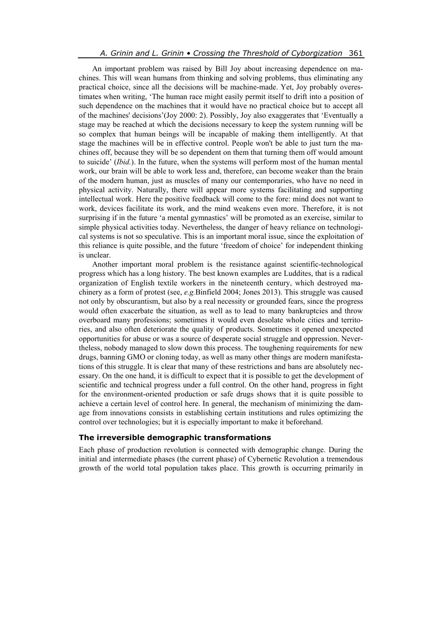An important problem was raised by Bill Joy about increasing dependence on machines. This will wean humans from thinking and solving problems, thus eliminating any practical choice, since all the decisions will be machine-made. Yet, Joy probably overestimates when writing, 'The human race might easily permit itself to drift into a position of such dependence on the machines that it would have no practical choice but to accept all of the machines' decisions'(Joy 2000: 2). Possibly, Joy also exaggerates that 'Eventually a stage may be reached at which the decisions necessary to keep the system running will be so complex that human beings will be incapable of making them intelligently. At that stage the machines will be in effective control. People won't be able to just turn the machines off, because they will be so dependent on them that turning them off would amount to suicide' (*Ibid.*). In the future, when the systems will perform most of the human mental work, our brain will be able to work less and, therefore, can become weaker than the brain of the modern human, just as muscles of many our contemporaries, who have no need in physical activity. Naturally, there will appear more systems facilitating and supporting intellectual work. Here the positive feedback will come to the fore: mind does not want to work, devices facilitate its work, and the mind weakens even more. Therefore, it is not surprising if in the future 'a mental gymnastics' will be promoted as an exercise, similar to simple physical activities today. Nevertheless, the danger of heavy reliance on technological systems is not so speculative. This is an important moral issue, since the exploitation of this reliance is quite possible, and the future 'freedom of choice' for independent thinking is unclear.

Another important moral problem is the resistance against scientific-technological progress which has a long history. The best known examples are Luddites, that is a radical organization of English textile workers in the nineteenth century, which destroyed machinery as a form of protest (see, *e.g.*Binfield 2004; Jones 2013). This struggle was caused not only by obscurantism, but also by a real necessity or grounded fears, since the progress would often exacerbate the situation, as well as to lead to many bankruptcies and throw overboard many professions; sometimes it would even desolate whole cities and territories, and also often deteriorate the quality of products. Sometimes it opened unexpected opportunities for abuse or was a source of desperate social struggle and oppression. Nevertheless, nobody managed to slow down this process. The toughening requirements for new drugs, banning GMO or cloning today, as well as many other things are modern manifestations of this struggle. It is clear that many of these restrictions and bans are absolutely necessary. On the one hand, it is difficult to expect that it is possible to get the development of scientific and technical progress under a full control. On the other hand, progress in fight for the environment-oriented production or safe drugs shows that it is quite possible to achieve a certain level of control here. In general, the mechanism of minimizing the damage from innovations consists in establishing certain institutions and rules optimizing the control over technologies; but it is especially important to make it beforehand.

## **The irreversible demographic transformations**

Each phase of production revolution is connected with demographic change. During the initial and intermediate phases (the current phase) of Cybernetic Revolution a tremendous growth of the world total population takes place. This growth is occurring primarily in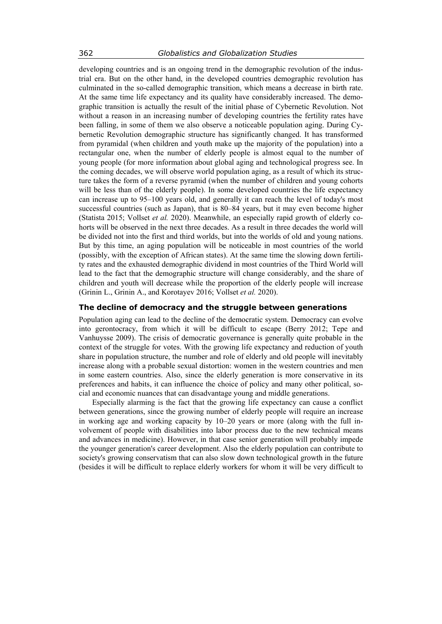developing countries and is an ongoing trend in the demographic revolution of the industrial era. But on the other hand, in the developed countries demographic revolution has culminated in the so-called demographic transition, which means a decrease in birth rate. At the same time life expectancy and its quality have considerably increased. The demographic transition is actually the result of the initial phase of Cybernetic Revolution. Not without a reason in an increasing number of developing countries the fertility rates have been falling, in some of them we also observe a noticeable population aging. During Cybernetic Revolution demographic structure has significantly changed. It has transformed from pyramidal (when children and youth make up the majority of the population) into a rectangular one, when the number of elderly people is almost equal to the number of young people (for more information about global aging and technological progress see. In the coming decades, we will observe world population aging, as a result of which its structure takes the form of a reverse pyramid (when the number of children and young cohorts will be less than of the elderly people). In some developed countries the life expectancy can increase up to 95–100 years old, and generally it can reach the level of today's most successful countries (such as Japan), that is 80–84 years, but it may even become higher (Statista 2015; Vollset *et al.* 2020). Meanwhile, an especially rapid growth of elderly cohorts will be observed in the next three decades. As a result in three decades the world will be divided not into the first and third worlds, but into the worlds of old and young nations. But by this time, an aging population will be noticeable in most countries of the world (possibly, with the exception of African states). At the same time the slowing down fertility rates and the exhausted demographic dividend in most countries of the Third World will lead to the fact that the demographic structure will change considerably, and the share of children and youth will decrease while the proportion of the elderly people will increase (Grinin L., Grinin A., and Korotayev 2016; Vollset *et al.* 2020).

## **The decline of democracy and the struggle between generations**

Population aging can lead to the decline of the democratic system. Democracy can evolve into gerontocracy, from which it will be difficult to escape (Berry 2012; Tepe and Vanhuysse 2009). The crisis of democratic governance is generally quite probable in the context of the struggle for votes. With the growing life expectancy and reduction of youth share in population structure, the number and role of elderly and old people will inevitably increase along with a probable sexual distortion: women in the western countries and men in some eastern countries. Also, since the elderly generation is more conservative in its preferences and habits, it can influence the choice of policy and many other political, social and economic nuances that can disadvantage young and middle generations.

Especially alarming is the fact that the growing life expectancy can cause a conflict between generations, since the growing number of elderly people will require an increase in working age and working capacity by 10–20 years or more (along with the full involvement of people with disabilities into labor process due to the new technical means and advances in medicine). However, in that case senior generation will probably impede the younger generation's career development. Also the elderly population can contribute to society's growing conservatism that can also slow down technological growth in the future (besides it will be difficult to replace elderly workers for whom it will be very difficult to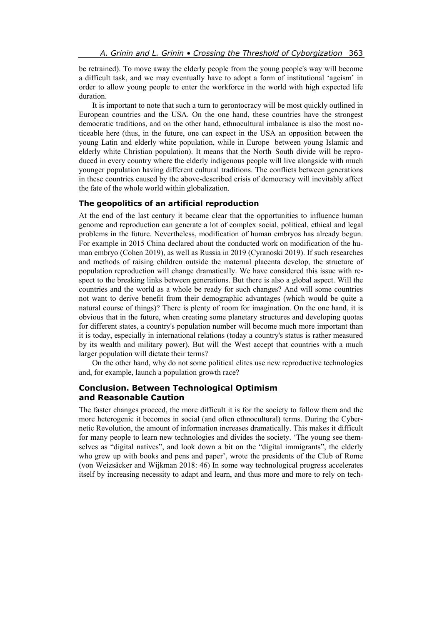be retrained). To move away the elderly people from the young people's way will become a difficult task, and we may eventually have to adopt a form of institutional 'ageism' in order to allow young people to enter the workforce in the world with high expected life duration.

It is important to note that such a turn to gerontocracy will be most quickly outlined in European countries and the USA. On the one hand, these countries have the strongest democratic traditions, and on the other hand, ethnocultural imbalance is also the most noticeable here (thus, in the future, one can expect in the USA an opposition between the young Latin and elderly white population, while in Europe between young Islamic and elderly white Christian population). It means that the North–South divide will be reproduced in every country where the elderly indigenous people will live alongside with much younger population having different cultural traditions. The conflicts between generations in these countries caused by the above-described crisis of democracy will inevitably affect the fate of the whole world within globalization.

## **The geopolitics of an artificial reproduction**

At the end of the last century it became clear that the opportunities to influence human genome and reproduction can generate a lot of complex social, political, ethical and legal problems in the future. Nevertheless, modification of human embryos has already begun. For example in 2015 China declared about the conducted work on modification of the human embryo (Cohen 2019), as well as Russia in 2019 (Cyranoski 2019). If such researches and methods of raising children outside the maternal placenta develop, the structure of population reproduction will change dramatically. We have considered this issue with respect to the breaking links between generations. But there is also a global aspect. Will the countries and the world as a whole be ready for such changes? And will some countries not want to derive benefit from their demographic advantages (which would be quite a natural course of things)? There is plenty of room for imagination. On the one hand, it is obvious that in the future, when creating some planetary structures and developing quotas for different states, a country's population number will become much more important than it is today, especially in international relations (today a country's status is rather measured by its wealth and military power). But will the West accept that countries with a much larger population will dictate their terms?

On the other hand, why do not some political elites use new reproductive technologies and, for example, launch a population growth race?

# **Conclusion. Between Technological Optimism and Reasonable Caution**

The faster changes proceed, the more difficult it is for the society to follow them and the more heterogenic it becomes in social (and often ethnocultural) terms. During the Cybernetic Revolution, the amount of information increases dramatically. This makes it difficult for many people to learn new technologies and divides the society. 'The young see themselves as "digital natives", and look down a bit on the "digital immigrants", the elderly who grew up with books and pens and paper', wrote the presidents of the Club of Rome (von Weizsäcker and Wijkman 2018: 46) In some way technological progress accelerates itself by increasing necessity to adapt and learn, and thus more and more to rely on tech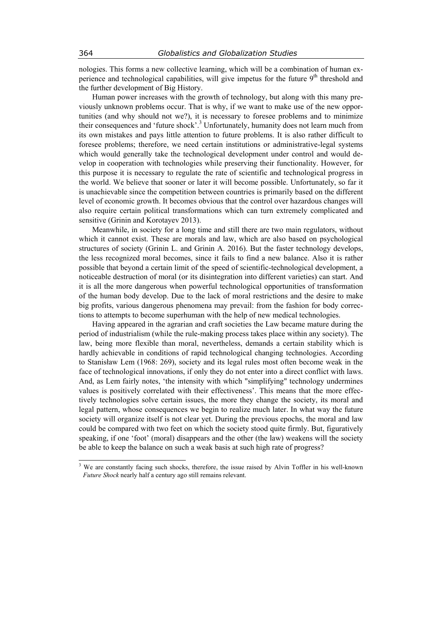nologies. This forms a new collective learning, which will be a combination of human experience and technological capabilities, will give impetus for the future  $9<sup>th</sup>$  threshold and the further development of Big History.

Human power increases with the growth of technology, but along with this many previously unknown problems occur. That is why, if we want to make use of the new opportunities (and why should not we?), it is necessary to foresee problems and to minimize their consequences and 'future shock'.<sup>3</sup> Unfortunately, humanity does not learn much from its own mistakes and pays little attention to future problems. It is also rather difficult to foresee problems; therefore, we need certain institutions or administrative-legal systems which would generally take the technological development under control and would develop in cooperation with technologies while preserving their functionality. However, for this purpose it is necessary to regulate the rate of scientific and technological progress in the world. We believe that sooner or later it will become possible. Unfortunately, so far it is unachievable since the competition between countries is primarily based on the different level of economic growth. It becomes obvious that the control over hazardous changes will also require certain political transformations which can turn extremely complicated and sensitive (Grinin and Korotayev 2013).

Meanwhile, in society for a long time and still there are two main regulators, without which it cannot exist. These are morals and law, which are also based on psychological structures of society (Grinin L. and Grinin A. 2016). But the faster technology develops, the less recognized moral becomes, since it fails to find a new balance. Also it is rather possible that beyond a certain limit of the speed of scientific-technological development, a noticeable destruction of moral (or its disintegration into different varieties) can start. And it is all the more dangerous when powerful technological opportunities of transformation of the human body develop. Due to the lack of moral restrictions and the desire to make big profits, various dangerous phenomena may prevail: from the fashion for body corrections to attempts to become superhuman with the help of new medical technologies.

Having appeared in the agrarian and craft societies the Law became mature during the period of industrialism (while the rule-making process takes place within any society). The law, being more flexible than moral, nevertheless, demands a certain stability which is hardly achievable in conditions of rapid technological changing technologies. According to Stanisław Lem (1968: 269), society and its legal rules most often become weak in the face of technological innovations, if only they do not enter into a direct conflict with laws. And, as Lem fairly notes, 'the intensity with which "simplifying" technology undermines values is positively correlated with their effectiveness'. This means that the more effectively technologies solve certain issues, the more they change the society, its moral and legal pattern, whose consequences we begin to realize much later. In what way the future society will organize itself is not clear yet. During the previous epochs, the moral and law could be compared with two feet on which the society stood quite firmly. But, figuratively speaking, if one 'foot' (moral) disappears and the other (the law) weakens will the society be able to keep the balance on such a weak basis at such high rate of progress?

 $\overline{\phantom{a}}$ 

<sup>&</sup>lt;sup>3</sup> We are constantly facing such shocks, therefore, the issue raised by Alvin Toffler in his well-known *Future Shock* nearly half a century ago still remains relevant.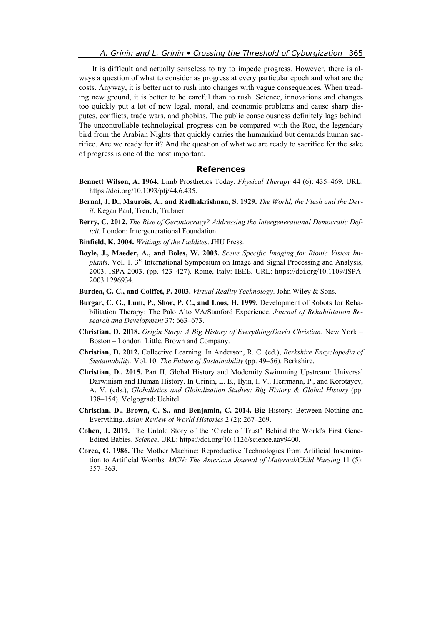It is difficult and actually senseless to try to impede progress. However, there is always a question of what to consider as progress at every particular epoch and what are the costs. Anyway, it is better not to rush into changes with vague consequences. When treading new ground, it is better to be careful than to rush. Science, innovations and changes too quickly put a lot of new legal, moral, and economic problems and cause sharp disputes, conflicts, trade wars, and phobias. The public consciousness definitely lags behind. The uncontrollable technological progress can be compared with the Roc, the legendary bird from the Arabian Nights that quickly carries the humankind but demands human sacrifice. Are we ready for it? And the question of what we are ready to sacrifice for the sake of progress is one of the most important.

## **References**

- **Bennett Wilson, A. 1964.** Limb Prosthetics Today. *Physical Therapy* 44 (6): 435–469. URL: https://doi.org/10.1093/ptj/44.6.435.
- **Bernal, J. D., Maurois, A., and Radhakrishnan, S. 1929.** *The World, the Flesh and the Devil*. Kegan Paul, Trench, Trubner.
- **Berry, C. 2012.** *The Rise of Gerontocracy? Addressing the Intergenerational Democratic Deficit.* London: Intergenerational Foundation.
- **Binfield, K. 2004.** *Writings of the Luddites*. JHU Press.
- **Boyle, J., Maeder, A., and Boles, W. 2003.** *Scene Specific Imaging for Bionic Vision Implants*. Vol. 1. 3<sup>rd</sup> International Symposium on Image and Signal Processing and Analysis, 2003. ISPA 2003. (pp. 423–427). Rome, Italy: IEEE. URL: https://doi.org/10.1109/ISPA. 2003.1296934.
- **Burdea, G. C., and Coiffet, P. 2003.** *Virtual Reality Technology*. John Wiley & Sons.
- **Burgar, C. G., Lum, P., Shor, P. C., and Loos, H. 1999.** Development of Robots for Rehabilitation Therapy: The Palo Alto VA/Stanford Experience. *Journal of Rehabilitation Research and Development* 37: 663–673.
- **Christian, D. 2018.** *Origin Story: A Big History of Everything/David Christian*. New York Boston – London: Little, Brown and Company.
- **Christian, D. 2012.** Collective Learning. In Anderson, R. C. (ed.), *Berkshire Encyclopedia of Sustainability.* Vol. 10. *The Future of Sustainability* (pp. 49–56). Berkshire.
- **Christian, D.. 2015.** Part II. Global History and Modernity Swimming Upstream: Universal Darwinism and Human History. In Grinin, L. E., Ilyin, I. V., Herrmann, P., and Korotayev, A. V. (eds.), *Globalistics and Globalization Studies: Big History & Global History* (pp. 138–154). Volgograd: Uchitel.
- **Christian, D., Brown, C. S., and Benjamin, C. 2014.** Big History: Between Nothing and Everything. *Asian Review of World Histories* 2 (2): 267–269.
- **Cohen, J. 2019.** The Untold Story of the 'Circle of Trust' Behind the World's First Gene-Edited Babies. *Science*. URL: https://doi.org/10.1126/science.aay9400.
- **Corea, G. 1986.** The Mother Machine: Reproductive Technologies from Artificial Insemination to Artificial Wombs. *MCN: The American Journal of Maternal/Child Nursing* 11 (5): 357–363.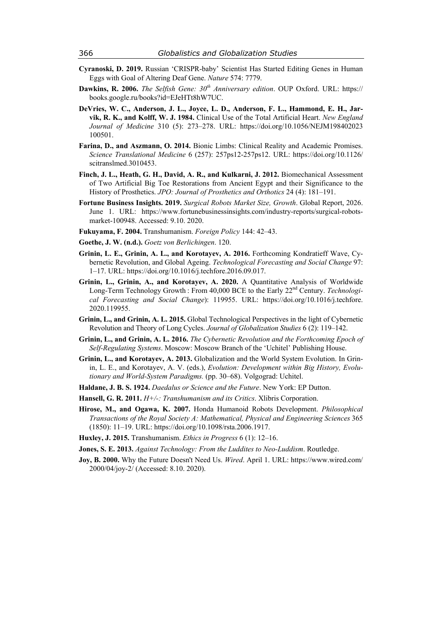- **Cyranoski, D. 2019.** Russian 'CRISPR-baby' Scientist Has Started Editing Genes in Human Eggs with Goal of Altering Deaf Gene. *Nature* 574: 7779.
- **Dawkins, R. 2006.** *The Selfish Gene: 30th Anniversary edition*. OUP Oxford. URL: https:// books.google.ru/books?id=EJeHTt8hW7UC.
- **DeVries, W. C., Anderson, J. L., Joyce, L. D., Anderson, F. L., Hammond, E. H., Jarvik, R. K., and Kolff, W. J. 1984.** Clinical Use of the Total Artificial Heart. *New England Journal of Medicine* 310 (5): 273–278. URL: https://doi.org/10.1056/NEJM198402023 100501.
- **Farina, D., and Aszmann, O. 2014.** Bionic Limbs: Clinical Reality and Academic Promises. *Science Translational Medicine* 6 (257): 257ps12-257ps12. URL: https://doi.org/10.1126/ scitranslmed.3010453.
- **Finch, J. L., Heath, G. H., David, A. R., and Kulkarni, J. 2012.** Biomechanical Assessment of Two Artificial Big Toe Restorations from Ancient Egypt and their Significance to the History of Prosthetics. *JPO: Journal of Prosthetics and Orthotics* 24 (4): 181–191.
- **Fortune Business Insights. 2019.** *Surgical Robots Market Size, Growth*. Global Report, 2026. June 1. URL: https://www.fortunebusinessinsights.com/industry-reports/surgical-robotsmarket-100948. Accessed: 9.10. 2020.
- **Fukuyama, F. 2004.** Transhumanism. *Foreign Policy* 144: 42–43.
- **Goethe, J. W. (n.d.).** *Goetz von Berlichingen*. 120.
- **Grinin, L. E., Grinin, A. L., and Korotayev, A. 2016.** Forthcoming Kondratieff Wave, Cybernetic Revolution, and Global Ageing. *Technological Forecasting and Social Change* 97: 1–17. URL: https://doi.org/10.1016/j.techfore.2016.09.017.
- **Grinin, L., Grinin, A., and Korotayev, A. 2020.** A Quantitative Analysis of Worldwide Long-Term Technology Growth : From 40,000 BCE to the Early 22nd Century. *Technological Forecasting and Social Change*): 119955. URL: https://doi.org/10.1016/j.techfore. 2020.119955.
- **Grinin, L., and Grinin, A. L. 2015.** Global Technological Perspectives in the light of Cybernetic Revolution and Theory of Long Cycles. *Journal of Globalization Studies* 6 (2): 119–142.
- **Grinin, L., and Grinin, A. L. 2016.** *The Cybernetic Revolution and the Forthcoming Epoch of Self-Regulating Systems*. Moscow: Moscow Branch of the 'Uchitel' Publishing House.
- **Grinin, L., and Korotayev, A. 2013.** Globalization and the World System Evolution. In Grinin, L. E., and Korotayev, A. V. (eds.), *Evolution: Development within Big History, Evolutionary and World-System Paradigms.* (pp. 30–68). Volgograd: Uchitel.
- **Haldane, J. B. S. 1924.** *Daedalus or Science and the Future*. New York: EP Dutton.
- **Hansell, G. R. 2011.** *H+/-: Transhumanism and its Critics*. Xlibris Corporation.
- **Hirose, M., and Ogawa, K. 2007.** Honda Humanoid Robots Development. *Philosophical Transactions of the Royal Society A: Mathematical, Physical and Engineering Sciences* 365 (1850): 11–19. URL: https://doi.org/10.1098/rsta.2006.1917.
- **Huxley, J. 2015.** Transhumanism. *Ethics in Progress* 6 (1): 12–16.
- **Jones, S. E. 2013.** *Against Technology: From the Luddites to Neo-Luddism*. Routledge.
- **Joy, B. 2000.** Why the Future Doesn't Need Us. *Wired*. April 1. URL: https://www.wired.com/ 2000/04/joy-2/ (Accessed: 8.10. 2020).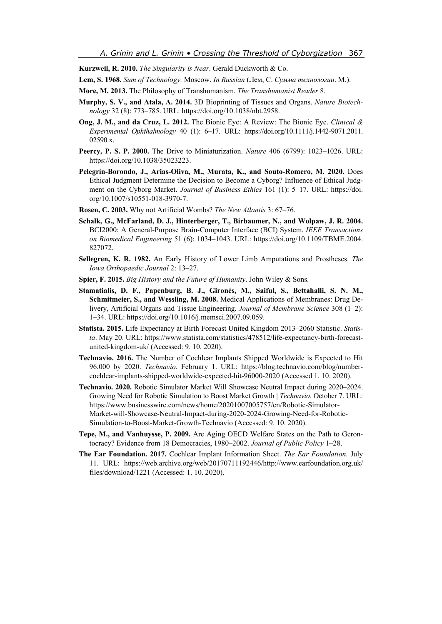**Kurzweil, R. 2010.** *The Singularity is Near*. Gerald Duckworth & Co.

**Lem, S. 1968.** *Sum of Technology.* Moscow. *In Russian* (Лем, С. *Сумма технологии*. М.).

- **More, M. 2013.** The Philosophy of Transhumanism. *The Transhumanist Reader* 8.
- **Murphy, S. V., and Atala, A. 2014.** 3D Bioprinting of Tissues and Organs. *Nature Biotechnology* 32 (8): 773–785. URL: https://doi.org/10.1038/nbt.2958.
- **Ong, J. M., and da Cruz, L. 2012.** The Bionic Eye: A Review: The Bionic Eye. *Clinical & Experimental Ophthalmology* 40 (1): 6–17. URL: https://doi.org/10.1111/j.1442-9071.2011. 02590.x.
- **Peercy, P. S. P. 2000.** The Drive to Miniaturization. *Nature* 406 (6799): 1023–1026. URL: https://doi.org/10.1038/35023223.
- **Pelegrín-Borondo, J., Arias-Oliva, M., Murata, K., and Souto-Romero, M. 2020.** Does Ethical Judgment Determine the Decision to Become a Cyborg? Influence of Ethical Judgment on the Cyborg Market. *Journal of Business Ethics* 161 (1): 5–17. URL: https://doi. org/10.1007/s10551-018-3970-7.
- **Rosen, C. 2003.** Why not Artificial Wombs? *The New Atlantis* 3: 67–76.
- **Schalk, G., McFarland, D. J., Hinterberger, T., Birbaumer, N., and Wolpaw, J. R. 2004.** BCI2000: A General-Purpose Brain-Computer Interface (BCI) System. *IEEE Transactions on Biomedical Engineering* 51 (6): 1034–1043. URL: https://doi.org/10.1109/TBME.2004. 827072.
- **Sellegren, K. R. 1982.** An Early History of Lower Limb Amputations and Prostheses. *The Iowa Orthopaedic Journal* 2: 13–27.
- **Spier, F. 2015.** *Big History and the Future of Humanity*. John Wiley & Sons.
- **Stamatialis, D. F., Papenburg, B. J., Gironés, M., Saiful, S., Bettahalli, S. N. M., Schmitmeier, S., and Wessling, M. 2008.** Medical Applications of Membranes: Drug Delivery, Artificial Organs and Tissue Engineering. *Journal of Membrane Science* 308 (1–2): 1–34. URL: https://doi.org/10.1016/j.memsci.2007.09.059.
- **Statista. 2015.** Life Expectancy at Birth Forecast United Kingdom 2013–2060 Statistic. *Statista*. May 20. URL: https://www.statista.com/statistics/478512/life-expectancy-birth-forecastunited-kingdom-uk/ (Accessed: 9. 10. 2020).
- **Technavio. 2016.** The Number of Cochlear Implants Shipped Worldwide is Expected to Hit 96,000 by 2020. *Technavio*. February 1. URL: https://blog.technavio.com/blog/numbercochlear-implants-shipped-worldwide-expected-hit-96000-2020 (Accessed 1. 10. 2020).
- **Technavio. 2020.** Robotic Simulator Market Will Showcase Neutral Impact during 2020–2024. Growing Need for Robotic Simulation to Boost Market Growth | *Technavio.* October 7. URL: https://www.businesswire.com/news/home/20201007005757/en/Robotic-Simulator-Market-will-Showcase-Neutral-Impact-during-2020-2024-Growing-Need-for-Robotic-Simulation-to-Boost-Market-Growth-Technavio (Accessed: 9. 10. 2020).
- **Tepe, M., and Vanhuysse, P. 2009.** Are Aging OECD Welfare States on the Path to Gerontocracy? Evidence from 18 Democracies, 1980–2002. *Journal of Public Policy* 1–28.
- **The Ear Foundation. 2017.** Cochlear Implant Information Sheet. *The Ear Foundation.* July 11. URL: https://web.archive.org/web/20170711192446/http://www.earfoundation.org.uk/ files/download/1221 (Accessed: 1. 10. 2020).